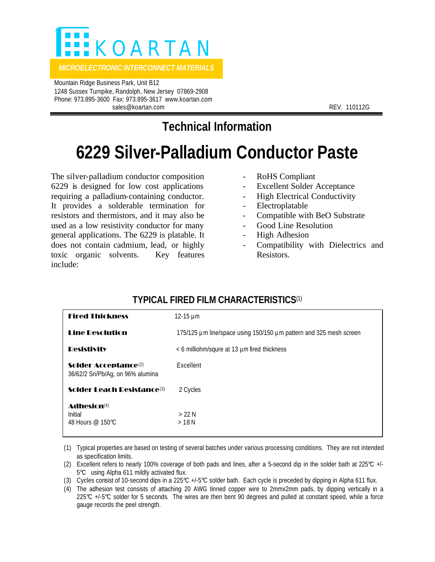

 Mountain Ridge Business Park, Unit B12 1248 Sussex Turnpike, Randolph, New Jersey 07869-2908 Phone: 973.895-3600 Fax: 973.895-3617 www.koartan.com sales@koartan.com **REV. 110112G** 

# **Technical Information**

# **6229 Silver-Palladium Conductor Paste**

The silver-palladium conductor composition 6229 is designed for low cost applications requiring a palladium-containing conductor. It provides a solderable termination for resistors and thermistors, and it may also be used as a low resistivity conductor for many general applications. The 6229 is platable. It does not contain cadmium, lead, or highly toxic organic solvents. Key features include:

- RoHS Compliant
- Excellent Solder Acceptance
- High Electrical Conductivity
- **Electroplatable**
- Compatible with BeO Substrate
- Good Line Resolution
- High Adhesion
- Compatibility with Dielectrics and Resistors.

| TITIVAL FINLD FILM VIIANAV I LND HVJY                                |                                                                    |
|----------------------------------------------------------------------|--------------------------------------------------------------------|
| <b>Fired Thickness</b>                                               | 12-15 $\mu$ m                                                      |
| <b>Line Desolution</b>                                               | 175/125 µm line/space using 150/150 µm pattern and 325 mesh screen |
| <b>Desistivity</b>                                                   | < 6 milliohm/squre at 13 µm fired thickness                        |
| Solder Acceptance <sup>(2)</sup><br>36/62/2 Sn/Pb/Ag, on 96% alumina | Excellent                                                          |
| <b>Solder Leach Resistance (3)</b>                                   | 2 Cycles                                                           |
| Adhesin(4)<br>Initial<br>48 Hours @ 150℃                             | $>22$ N<br>$>18$ N                                                 |

## **TYPICAL FIRED FILM CHARACTERISTICS**(1)

(1) Typical properties are based on testing of several batches under various processing conditions. They are not intended as specification limits.

- (2) Excellent refers to nearly 100% coverage of both pads and lines, after a 5-second dip in the solder bath at 225°C +/- 5°C using Alpha 611 mildly activated flux.
- (3) Cycles consist of 10-second dips in a 225°C +/-5°C solder bath. Each cycle is preceded by dipping in Alpha 611 flux.
- (4) The adhesion test consists of attaching 20 AWG tinned copper wire to 2mmx2mm pads, by dipping vertically in a  $225^{\circ}$  +/-5 $^{\circ}$  solder for 5 seconds. The wires are then bent 90 degrees and pulled at constant speed, while a force gauge records the peel strength.